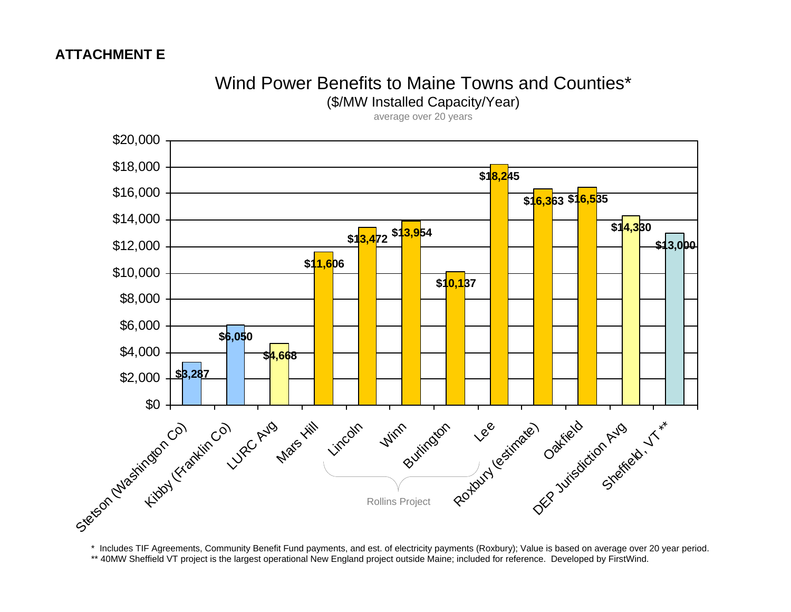## Wind Power Benefits to Maine Towns and Counties\*

(\$/MW Installed Capacity/Year)

average over 20 years



\* Includes TIF Agreements, Community Benefit Fund payments, and est. of electricity payments (Roxbury); Value is based on average over 20 year period. \*\* 40MW Sheffield VT project is the largest operational New England project outside Maine; included for reference. Developed by FirstWind.